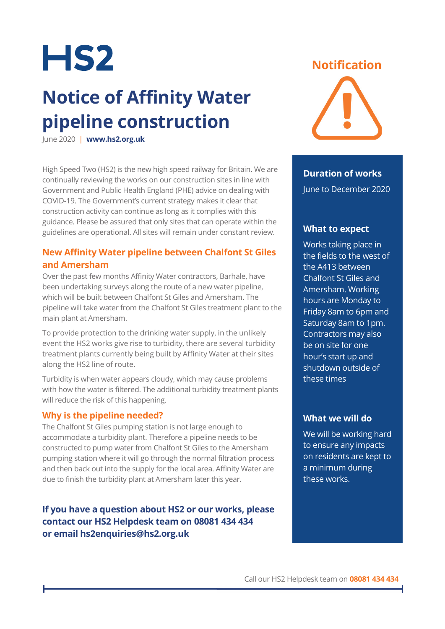

## **Notice of Affinity Water pipeline construction**

June 2020 | **www.hs2.org.uk**

High Speed Two (HS2) is the new high speed railway for Britain. We are continually reviewing the works on our construction sites in line with Government and Public Health England (PHE) advice on dealing with COVID-19. The Government's current strategy makes it clear that construction activity can continue as long as it complies with this guidance. Please be assured that only sites that can operate within the guidelines are operational. All sites will remain under constant review.

### **New Affinity Water pipeline between Chalfont St Giles and Amersham**

Over the past few months Affinity Water contractors, Barhale, have been undertaking surveys along the route of a new water pipeline, which will be built between Chalfont St Giles and Amersham. The pipeline will take water from the Chalfont St Giles treatment plant to the main plant at Amersham.

To provide protection to the drinking water supply, in the unlikely event the HS2 works give rise to turbidity, there are several turbidity treatment plants currently being built by Affinity Water at their sites along the HS2 line of route.

Turbidity is when water appears cloudy, which may cause problems with how the water is filtered. The additional turbidity treatment plants will reduce the risk of this happening.

#### **Why is the pipeline needed?**

The Chalfont St Giles pumping station is not large enough to accommodate a turbidity plant. Therefore a pipeline needs to be constructed to pump water from Chalfont St Giles to the Amersham pumping station where it will go through the normal filtration process and then back out into the supply for the local area. Affinity Water are due to finish the turbidity plant at Amersham later this year.

## **If you have a question about HS2 or our works, please contact our HS2 Helpdesk team on 08081 434 434 or email hs2enquiries@hs2.org.uk**





#### **Duration of works**

June to December 2020

#### **What to expect**

Works taking place in the fields to the west of the A413 between Chalfont St Giles and Amersham. Working hours are Monday to Friday 8am to 6pm and Saturday 8am to 1pm. Contractors may also be on site for one hour's start up and shutdown outside of these times

#### **What we will do**

We will be working hard to ensure any impacts on residents are kept to a minimum during these works.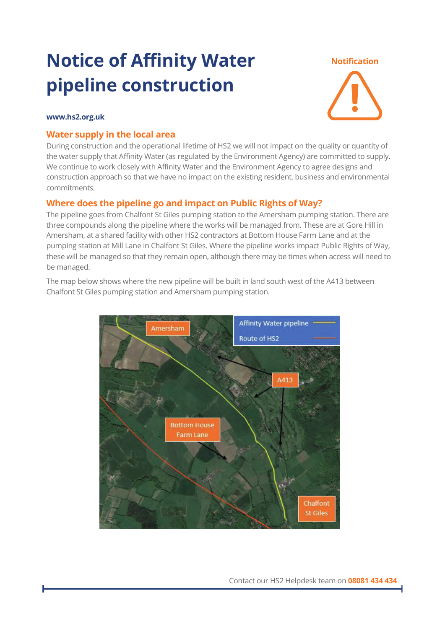## **Notice of Affinity Water pipeline construction**

#### **Notification**



#### **www.hs2.org.uk**

#### **Water supply in the local area**

During construction and the operational lifetime of HS2 we will not impact on the quality or quantity of the water supply that Affinity Water (as regulated by the Environment Agency) are committed to supply. We continue to work closely with Affinity Water and the Environment Agency to agree designs and construction approach so that we have no impact on the existing resident, business and environmental commitments.

#### **Where does the pipeline go and impact on Public Rights of Way?**

The pipeline goes from Chalfont St Giles pumping station to the Amersham pumping station. There are three compounds along the pipeline where the works will be managed from. These are at Gore Hill in Amersham, at a shared facility with other HS2 contractors at Bottom House Farm Lane and at the pumping station at Mill Lane in Chalfont St Giles. Where the pipeline works impact Public Rights of Way, these will be managed so that they remain open, although there may be times when access will need to be managed.



The map below shows where the new pipeline will be built in land south west of the A413 between Chalfont St Giles pumping station and Amersham pumping station.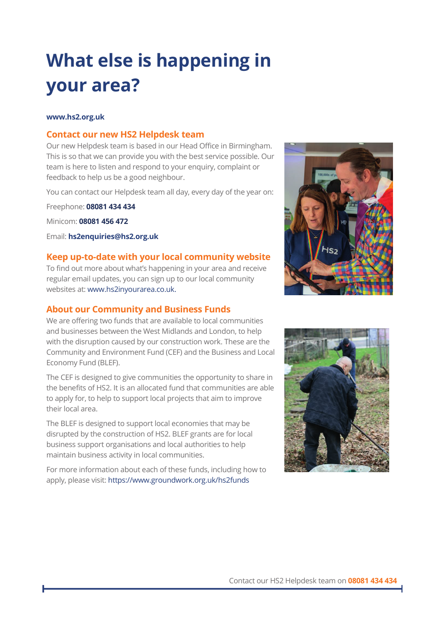## **What else is happening in your area?**

#### **www.hs2.org.uk**

#### **Contact our new HS2 Helpdesk team**

Our new Helpdesk team is based in our Head Office in Birmingham. This is so that we can provide you with the best service possible. Our team is here to listen and respond to your enquiry, complaint or feedback to help us be a good neighbour.

You can contact our Helpdesk team all day, every day of the year on:

Freephone: **08081 434 434**

Minicom: **08081 456 472**

Email: **hs2enquiries@hs2.org.uk**

#### **Keep up-to-date with your local community website**

To find out more about what's happening in your area and receive regular email updates, you can sign up to our local community websites at: www.hs2inyourarea.co.uk.

#### **About our Community and Business Funds**

We are offering two funds that are available to local communities and businesses between the West Midlands and London, to help with the disruption caused by our construction work. These are the Community and Environment Fund (CEF) and the Business and Local Economy Fund (BLEF).

The CEF is designed to give communities the opportunity to share in the benefits of HS2. It is an allocated fund that communities are able to apply for, to help to support local projects that aim to improve their local area.

The BLEF is designed to support local economies that may be disrupted by the construction of HS2. BLEF grants are for local business support organisations and local authorities to help maintain business activity in local communities.

For more information about each of these funds, including how to apply, please visit: https://www.groundwork.org.uk/hs2funds